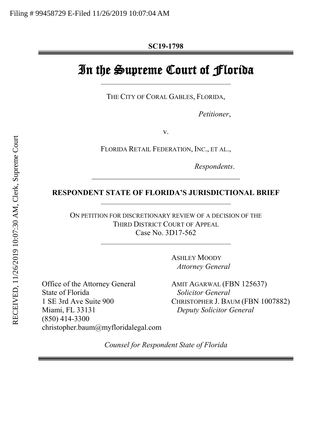# In the Supreme Court of Florida

\_\_\_\_\_\_\_\_\_\_\_\_\_\_\_\_\_\_\_\_\_\_\_\_\_\_\_\_\_\_\_\_\_\_\_\_\_\_\_\_

THE CITY OF CORAL GABLES, FLORIDA,

*Petitioner*,

v.

FLORIDA RETAIL FEDERATION, INC., ET AL.,

*Respondents*.

### **RESPONDENT STATE OF FLORIDA'S JURISDICTIONAL BRIEF** \_\_\_\_\_\_\_\_\_\_\_\_\_\_\_\_\_\_\_\_\_\_\_\_\_\_\_\_\_\_\_\_\_\_\_\_\_\_\_\_

*\_\_\_\_\_\_\_\_\_\_\_\_\_\_\_\_\_\_\_\_\_\_\_\_\_\_\_\_\_\_\_\_\_\_\_\_\_\_\_*

ON PETITION FOR DISCRETIONARY REVIEW OF A DECISION OF THE THIRD DISTRICT COURT OF APPEAL Case No. 3D17-562

\_\_\_\_\_\_\_\_\_\_\_\_\_\_\_\_\_\_\_\_\_\_\_\_\_\_\_\_\_\_\_\_\_\_\_\_\_\_\_\_

ASHLEY MOODY  *Attorney General*

Office of the Attorney General State of Florida 1 SE 3rd Ave Suite 900 Miami, FL 33131 (850) 414-3300 christopher.baum@myfloridalegal.com AMIT AGARWAL (FBN 125637)  *Solicitor General* CHRISTOPHER J. BAUM (FBN 1007882)  *Deputy Solicitor General*

*Counsel for Respondent State of Florida*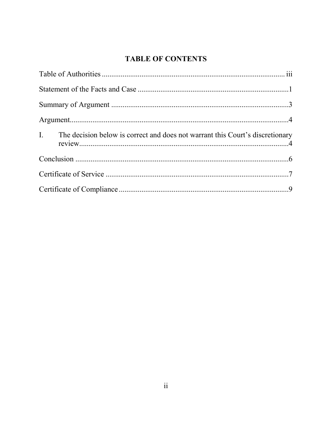# **TABLE OF CONTENTS**

| I. The decision below is correct and does not warrant this Court's discretionary |  |
|----------------------------------------------------------------------------------|--|
|                                                                                  |  |
|                                                                                  |  |
|                                                                                  |  |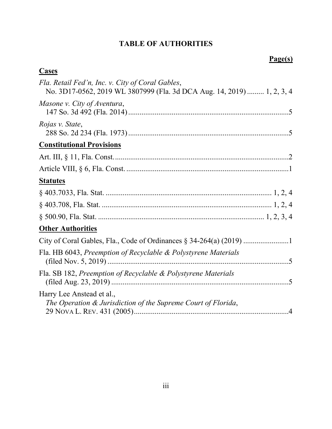# **TABLE OF AUTHORITIES**

# **Page(s)**

<span id="page-2-0"></span>

| <b>Cases</b>                                                                                                               |
|----------------------------------------------------------------------------------------------------------------------------|
| Fla. Retail Fed'n, Inc. v. City of Coral Gables,<br>No. 3D17-0562, 2019 WL 3807999 (Fla. 3d DCA Aug. 14, 2019)  1, 2, 3, 4 |
| Masone v. City of Aventura,                                                                                                |
| Rojas v. State,                                                                                                            |
| <b>Constitutional Provisions</b>                                                                                           |
|                                                                                                                            |
|                                                                                                                            |
| <b>Statutes</b>                                                                                                            |
|                                                                                                                            |
|                                                                                                                            |
|                                                                                                                            |
| <b>Other Authorities</b>                                                                                                   |
| City of Coral Gables, Fla., Code of Ordinances § 34-264(a) (2019)                                                          |
| Fla. HB 6043, Preemption of Recyclable & Polystyrene Materials                                                             |
| Fla. SB 182, Preemption of Recyclable & Polystyrene Materials                                                              |
| Harry Lee Anstead et al.,<br>The Operation & Jurisdiction of the Supreme Court of Florida,                                 |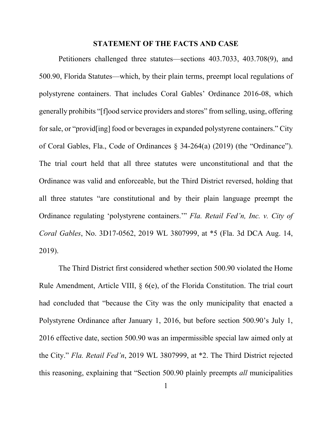#### **STATEMENT OF THE FACTS AND CASE**

<span id="page-3-0"></span>Petitioners challenged three statutes—sections 403.7033, 403.708(9), and 500.90, Florida Statutes—which, by their plain terms, preempt local regulations of polystyrene containers. That includes Coral Gables' Ordinance 2016-08, which generally prohibits "[f]ood service providers and stores" from selling, using, offering for sale, or "provid[ing] food or beverages in expanded polystyrene containers." City of Coral Gables, Fla., Code of Ordinances § 34-264(a) (2019) (the "Ordinance"). The trial court held that all three statutes were unconstitutional and that the Ordinance was valid and enforceable, but the Third District reversed, holding that all three statutes "are constitutional and by their plain language preempt the Ordinance regulating 'polystyrene containers.'" *Fla. Retail Fed'n, Inc. v. City of Coral Gables*, No. 3D17-0562, 2019 WL 3807999, at \*5 (Fla. 3d DCA Aug. 14, 2019).

The Third District first considered whether section 500.90 violated the Home Rule Amendment, Article VIII, § 6(e), of the Florida Constitution. The trial court had concluded that "because the City was the only municipality that enacted a Polystyrene Ordinance after January 1, 2016, but before section 500.90's July 1, 2016 effective date, section 500.90 was an impermissible special law aimed only at the City." *Fla. Retail Fed'n*, 2019 WL 3807999, at \*2. The Third District rejected this reasoning, explaining that "Section 500.90 plainly preempts *all* municipalities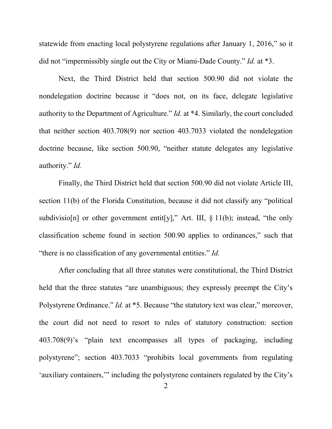statewide from enacting local polystyrene regulations after January 1, 2016," so it did not "impermissibly single out the City or Miami-Dade County." *Id.* at \*3.

Next, the Third District held that section 500.90 did not violate the nondelegation doctrine because it "does not, on its face, delegate legislative authority to the Department of Agriculture." *Id.* at \*4. Similarly, the court concluded that neither section 403.708(9) nor section 403.7033 violated the nondelegation doctrine because, like section 500.90, "neither statute delegates any legislative authority." *Id.*

Finally, the Third District held that section 500.90 did not violate Article III, section 11(b) of the Florida Constitution, because it did not classify any "political subdivisio[n] or other government entit[y]," Art. III,  $\S 11(b)$ ; instead, "the only classification scheme found in section 500.90 applies to ordinances," such that "there is no classification of any governmental entities." *Id.*

After concluding that all three statutes were constitutional, the Third District held that the three statutes "are unambiguous; they expressly preempt the City's Polystyrene Ordinance." *Id.* at \*5. Because "the statutory text was clear," moreover, the court did not need to resort to rules of statutory construction: section 403.708(9)'s "plain text encompasses all types of packaging, including polystyrene"; section 403.7033 "prohibits local governments from regulating 'auxiliary containers,'" including the polystyrene containers regulated by the City's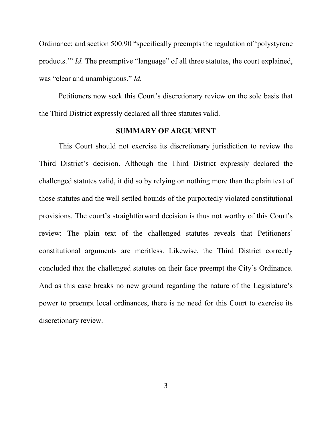Ordinance; and section 500.90 "specifically preempts the regulation of 'polystyrene products.'" *Id.* The preemptive "language" of all three statutes, the court explained, was "clear and unambiguous." *Id.*

Petitioners now seek this Court's discretionary review on the sole basis that the Third District expressly declared all three statutes valid.

### **SUMMARY OF ARGUMENT**

<span id="page-5-0"></span>This Court should not exercise its discretionary jurisdiction to review the Third District's decision. Although the Third District expressly declared the challenged statutes valid, it did so by relying on nothing more than the plain text of those statutes and the well-settled bounds of the purportedly violated constitutional provisions. The court's straightforward decision is thus not worthy of this Court's review: The plain text of the challenged statutes reveals that Petitioners' constitutional arguments are meritless. Likewise, the Third District correctly concluded that the challenged statutes on their face preempt the City's Ordinance. And as this case breaks no new ground regarding the nature of the Legislature's power to preempt local ordinances, there is no need for this Court to exercise its discretionary review.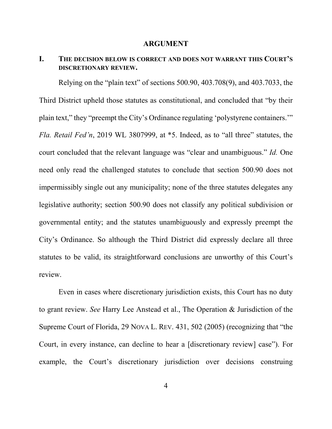#### **ARGUMENT**

## <span id="page-6-1"></span><span id="page-6-0"></span>**I. THE DECISION BELOW IS CORRECT AND DOES NOT WARRANT THIS COURT'S DISCRETIONARY REVIEW.**

Relying on the "plain text" of sections 500.90, 403.708(9), and 403.7033, the Third District upheld those statutes as constitutional, and concluded that "by their plain text," they "preempt the City's Ordinance regulating 'polystyrene containers.'" *Fla. Retail Fed'n*, 2019 WL 3807999, at \*5. Indeed, as to "all three" statutes, the court concluded that the relevant language was "clear and unambiguous." *Id.* One need only read the challenged statutes to conclude that section 500.90 does not impermissibly single out any municipality; none of the three statutes delegates any legislative authority; section 500.90 does not classify any political subdivision or governmental entity; and the statutes unambiguously and expressly preempt the City's Ordinance. So although the Third District did expressly declare all three statutes to be valid, its straightforward conclusions are unworthy of this Court's review.

Even in cases where discretionary jurisdiction exists, this Court has no duty to grant review. *See* Harry Lee Anstead et al., The Operation & Jurisdiction of the Supreme Court of Florida, 29 NOVA L. REV. 431, 502 (2005) (recognizing that "the Court, in every instance, can decline to hear a [discretionary review] case"). For example, the Court's discretionary jurisdiction over decisions construing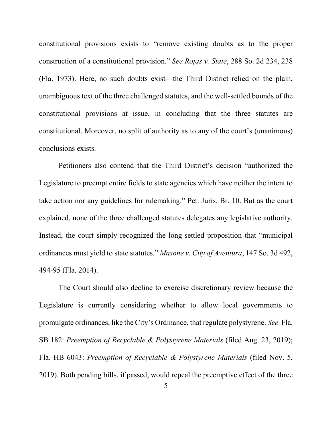constitutional provisions exists to "remove existing doubts as to the proper construction of a constitutional provision." *See Rojas v. State*, 288 So. 2d 234, 238 (Fla. 1973). Here, no such doubts exist—the Third District relied on the plain, unambiguous text of the three challenged statutes, and the well-settled bounds of the constitutional provisions at issue, in concluding that the three statutes are constitutional. Moreover, no split of authority as to any of the court's (unanimous) conclusions exists.

Petitioners also contend that the Third District's decision "authorized the Legislature to preempt entire fields to state agencies which have neither the intent to take action nor any guidelines for rulemaking." Pet. Juris. Br. 10. But as the court explained, none of the three challenged statutes delegates any legislative authority. Instead, the court simply recognized the long-settled proposition that "municipal ordinances must yield to state statutes." *Masone v. City of Aventura*, 147 So. 3d 492, 494-95 (Fla. 2014).

The Court should also decline to exercise discretionary review because the Legislature is currently considering whether to allow local governments to promulgate ordinances, like the City's Ordinance, that regulate polystyrene. *See* Fla. SB 182: *Preemption of Recyclable & Polystyrene Materials* (filed Aug. 23, 2019); Fla. HB 6043: *Preemption of Recyclable & Polystyrene Materials* (filed Nov. 5, 2019). Both pending bills, if passed, would repeal the preemptive effect of the three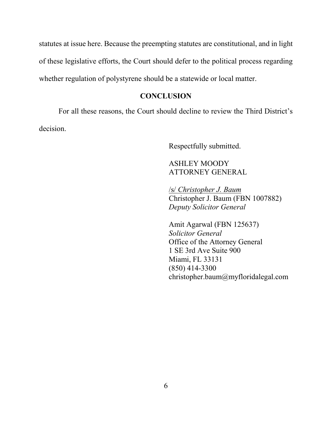statutes at issue here. Because the preempting statutes are constitutional, and in light of these legislative efforts, the Court should defer to the political process regarding whether regulation of polystyrene should be a statewide or local matter.

## **CONCLUSION**

<span id="page-8-0"></span>For all these reasons, the Court should decline to review the Third District's decision.

Respectfully submitted.

# ASHLEY MOODY ATTORNEY GENERAL

/s/ *Christopher J. Baum* Christopher J. Baum (FBN 1007882) *Deputy Solicitor General*

Amit Agarwal (FBN 125637) *Solicitor General* Office of the Attorney General 1 SE 3rd Ave Suite 900 Miami, FL 33131 (850) 414-3300 christopher.baum@myfloridalegal.com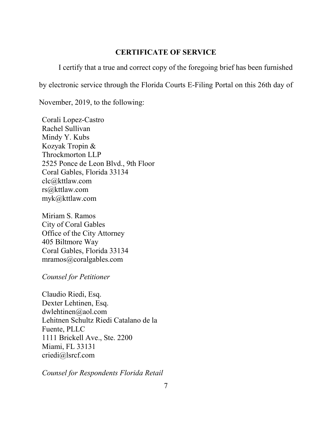### **CERTIFICATE OF SERVICE**

<span id="page-9-0"></span>I certify that a true and correct copy of the foregoing brief has been furnished

by electronic service through the Florida Courts E-Filing Portal on this 26th day of

November, 2019, to the following:

Corali Lopez-Castro Rachel Sullivan Mindy Y. Kubs Kozyak Tropin & Throckmorton LLP 2525 Ponce de Leon Blvd., 9th Floor Coral Gables, Florida 33134 clc@kttlaw.com rs@kttlaw.com myk@kttlaw.com

Miriam S. Ramos City of Coral Gables Office of the City Attorney 405 Biltmore Way Coral Gables, Florida 33134 mramos@coralgables.com

*Counsel for Petitioner*

Claudio Riedi, Esq. Dexter Lehtinen, Esq. dwlehtinen@aol.com Lehitnen Schultz Riedi Catalano de la Fuente, PLLC 1111 Brickell Ave., Ste. 2200 Miami, FL 33131 criedi@lsrcf.com

*Counsel for Respondents Florida Retail*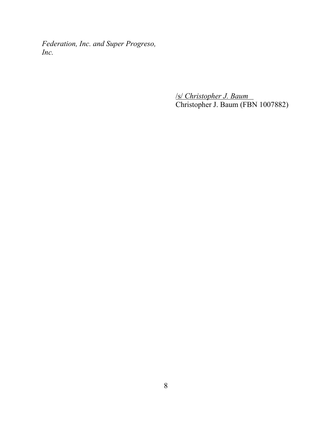*Federation, Inc. and Super Progreso, Inc.*

> /s/ *Christopher J. Baum* Christopher J. Baum (FBN 1007882)